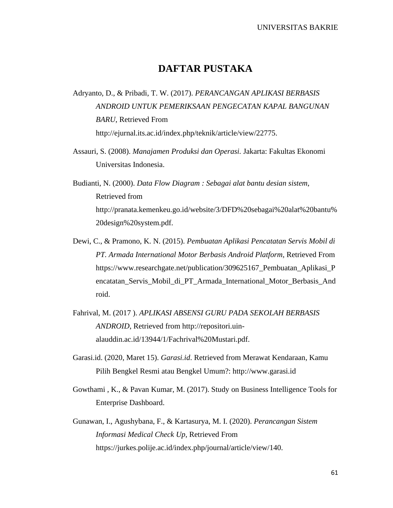## **DAFTAR PUSTAKA**

- Adryanto, D., & Pribadi, T. W. (2017). *PERANCANGAN APLIKASI BERBASIS ANDROID UNTUK PEMERIKSAAN PENGECATAN KAPAL BANGUNAN BARU*, Retrieved From http://ejurnal.its.ac.id/index.php/teknik/article/view/22775.
- Assauri, S. (2008). *Manajamen Produksi dan Operasi.* Jakarta: Fakultas Ekonomi Universitas Indonesia.
- Budianti, N. (2000). *Data Flow Diagram : Sebagai alat bantu desian sistem*, Retrieved from http://pranata.kemenkeu.go.id/website/3/DFD%20sebagai%20alat%20bantu% 20design%20system.pdf.
- Dewi, C., & Pramono, K. N. (2015). *Pembuatan Aplikasi Pencatatan Servis Mobil di PT. Armada International Motor Berbasis Android Platform*, Retrieved From https://www.researchgate.net/publication/309625167\_Pembuatan\_Aplikasi\_P encatatan\_Servis\_Mobil\_di\_PT\_Armada\_International\_Motor\_Berbasis\_And roid.
- Fahrival, M. (2017 ). *APLIKASI ABSENSI GURU PADA SEKOLAH BERBASIS ANDROID*, Retrieved from http://repositori.uinalauddin.ac.id/13944/1/Fachrival%20Mustari.pdf.
- Garasi.id. (2020, Maret 15). *Garasi.id*. Retrieved from Merawat Kendaraan, Kamu Pilih Bengkel Resmi atau Bengkel Umum?: http://www.garasi.id
- Gowthami , K., & Pavan Kumar, M. (2017). Study on Business Intelligence Tools for Enterprise Dashboard.
- Gunawan, I., Agushybana, F., & Kartasurya, M. I. (2020). *Perancangan Sistem Informasi Medical Check Up*, Retrieved From https://jurkes.polije.ac.id/index.php/journal/article/view/140.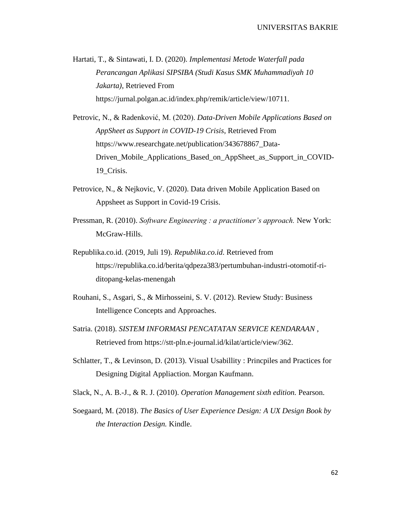Hartati, T., & Sintawati, I. D. (2020). *Implementasi Metode Waterfall pada Perancangan Aplikasi SIPSIBA (Studi Kasus SMK Muhammadiyah 10 Jakarta)*, Retrieved From https://jurnal.polgan.ac.id/index.php/remik/article/view/10711.

- Petrovic, N., & Radenković, M. (2020). *Data-Driven Mobile Applications Based on AppSheet as Support in COVID-19 Crisis*, Retrieved From https://www.researchgate.net/publication/343678867\_Data-Driven\_Mobile\_Applications\_Based\_on\_AppSheet\_as\_Support\_in\_COVID-19\_Crisis.
- Petrovice, N., & Nejkovic, V. (2020). Data driven Mobile Application Based on Appsheet as Support in Covid-19 Crisis.
- Pressman, R. (2010). *Software Engineering : a practitioner's approach.* New York: McGraw-Hills.
- Republika.co.id. (2019, Juli 19). *Republika.co.id*. Retrieved from https://republika.co.id/berita/qdpeza383/pertumbuhan-industri-otomotif-riditopang-kelas-menengah
- Rouhani, S., Asgari, S., & Mirhosseini, S. V. (2012). Review Study: Business Intelligence Concepts and Approaches.
- Satria. (2018). *SISTEM INFORMASI PENCATATAN SERVICE KENDARAAN* , Retrieved from https://stt-pln.e-journal.id/kilat/article/view/362.
- Schlatter, T., & Levinson, D. (2013). Visual Usabillity : Princpiles and Practices for Designing Digital Appliaction. Morgan Kaufmann.
- Slack, N., A. B.-J., & R. J. (2010). *Operation Management sixth edition.* Pearson.
- Soegaard, M. (2018). *The Basics of User Experience Design: A UX Design Book by the Interaction Design.* Kindle.